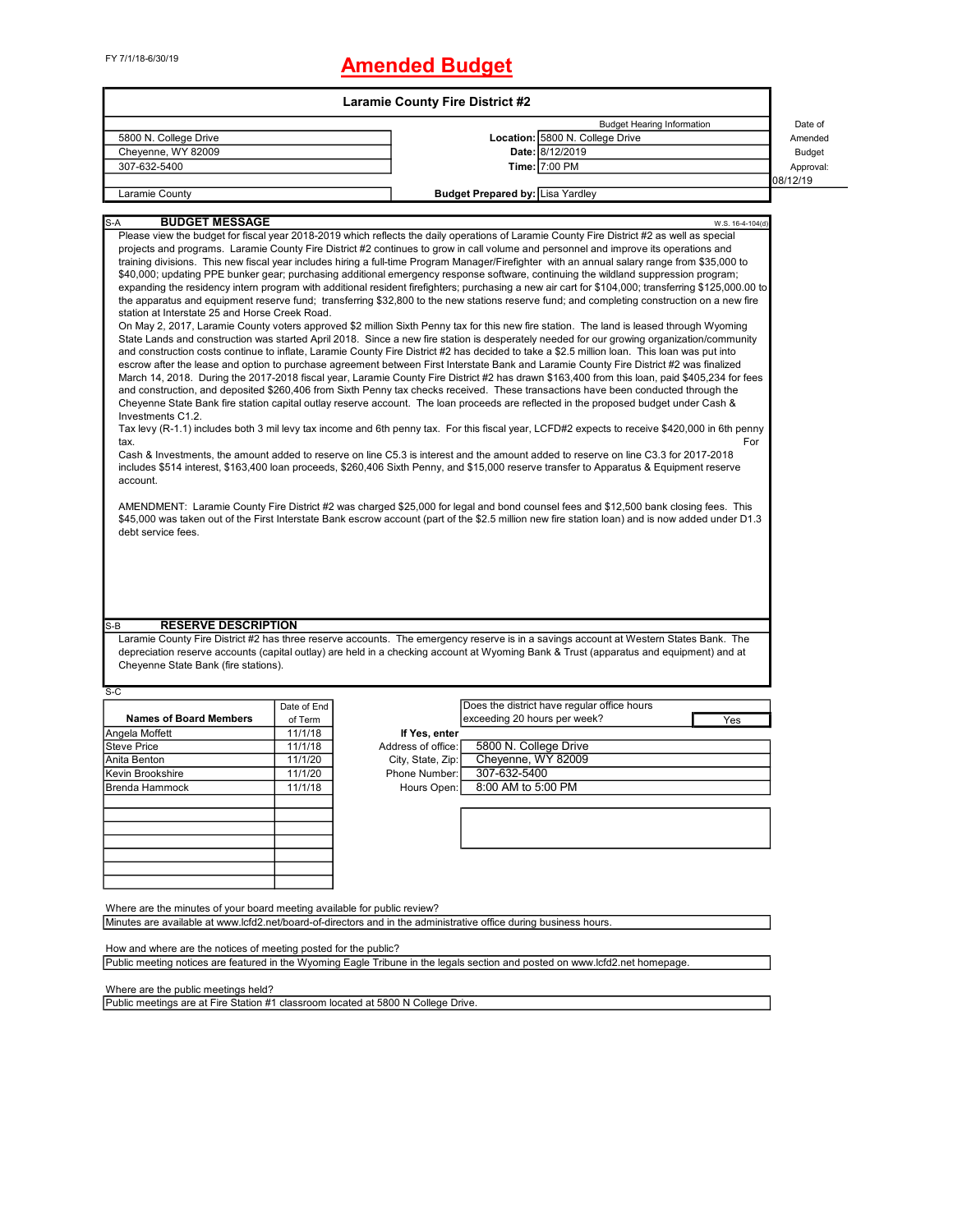# FY 7/1/18-6/30/19 **Amended Budget**

|                                                                                                                                                                                                                                                                                                                                                                                                                                                                                                                                                                                                                                                                                                                                                                                                                                                                                                                                                                                                                                                                                                                                                                                                                                                                                                                                                                                                                                                                                                                                                                                                                                                                                                                                                                                                                                                                                                                                                                                                                                                                                                                                                                                                                                                                                                                                                                                                                                                                                                                                                                                                                                                                                                                                                       |             | <b>Laramie County Fire District #2</b> |                                  |                                             |                  |               |
|-------------------------------------------------------------------------------------------------------------------------------------------------------------------------------------------------------------------------------------------------------------------------------------------------------------------------------------------------------------------------------------------------------------------------------------------------------------------------------------------------------------------------------------------------------------------------------------------------------------------------------------------------------------------------------------------------------------------------------------------------------------------------------------------------------------------------------------------------------------------------------------------------------------------------------------------------------------------------------------------------------------------------------------------------------------------------------------------------------------------------------------------------------------------------------------------------------------------------------------------------------------------------------------------------------------------------------------------------------------------------------------------------------------------------------------------------------------------------------------------------------------------------------------------------------------------------------------------------------------------------------------------------------------------------------------------------------------------------------------------------------------------------------------------------------------------------------------------------------------------------------------------------------------------------------------------------------------------------------------------------------------------------------------------------------------------------------------------------------------------------------------------------------------------------------------------------------------------------------------------------------------------------------------------------------------------------------------------------------------------------------------------------------------------------------------------------------------------------------------------------------------------------------------------------------------------------------------------------------------------------------------------------------------------------------------------------------------------------------------------------------|-------------|----------------------------------------|----------------------------------|---------------------------------------------|------------------|---------------|
|                                                                                                                                                                                                                                                                                                                                                                                                                                                                                                                                                                                                                                                                                                                                                                                                                                                                                                                                                                                                                                                                                                                                                                                                                                                                                                                                                                                                                                                                                                                                                                                                                                                                                                                                                                                                                                                                                                                                                                                                                                                                                                                                                                                                                                                                                                                                                                                                                                                                                                                                                                                                                                                                                                                                                       |             |                                        |                                  | <b>Budget Hearing Information</b>           |                  | Date of       |
| 5800 N. College Drive                                                                                                                                                                                                                                                                                                                                                                                                                                                                                                                                                                                                                                                                                                                                                                                                                                                                                                                                                                                                                                                                                                                                                                                                                                                                                                                                                                                                                                                                                                                                                                                                                                                                                                                                                                                                                                                                                                                                                                                                                                                                                                                                                                                                                                                                                                                                                                                                                                                                                                                                                                                                                                                                                                                                 |             |                                        |                                  | Location: 5800 N. College Drive             |                  | Amended       |
| Cheyenne, WY 82009                                                                                                                                                                                                                                                                                                                                                                                                                                                                                                                                                                                                                                                                                                                                                                                                                                                                                                                                                                                                                                                                                                                                                                                                                                                                                                                                                                                                                                                                                                                                                                                                                                                                                                                                                                                                                                                                                                                                                                                                                                                                                                                                                                                                                                                                                                                                                                                                                                                                                                                                                                                                                                                                                                                                    |             |                                        |                                  | Date: 8/12/2019                             |                  | <b>Budget</b> |
| 307-632-5400                                                                                                                                                                                                                                                                                                                                                                                                                                                                                                                                                                                                                                                                                                                                                                                                                                                                                                                                                                                                                                                                                                                                                                                                                                                                                                                                                                                                                                                                                                                                                                                                                                                                                                                                                                                                                                                                                                                                                                                                                                                                                                                                                                                                                                                                                                                                                                                                                                                                                                                                                                                                                                                                                                                                          |             |                                        |                                  | Time: 7:00 PM                               |                  | Approval:     |
| Laramie County                                                                                                                                                                                                                                                                                                                                                                                                                                                                                                                                                                                                                                                                                                                                                                                                                                                                                                                                                                                                                                                                                                                                                                                                                                                                                                                                                                                                                                                                                                                                                                                                                                                                                                                                                                                                                                                                                                                                                                                                                                                                                                                                                                                                                                                                                                                                                                                                                                                                                                                                                                                                                                                                                                                                        |             |                                        | Budget Prepared by: Lisa Yardley |                                             |                  | 08/12/19      |
|                                                                                                                                                                                                                                                                                                                                                                                                                                                                                                                                                                                                                                                                                                                                                                                                                                                                                                                                                                                                                                                                                                                                                                                                                                                                                                                                                                                                                                                                                                                                                                                                                                                                                                                                                                                                                                                                                                                                                                                                                                                                                                                                                                                                                                                                                                                                                                                                                                                                                                                                                                                                                                                                                                                                                       |             |                                        |                                  |                                             |                  |               |
| <b>BUDGET MESSAGE</b><br>$S-A$                                                                                                                                                                                                                                                                                                                                                                                                                                                                                                                                                                                                                                                                                                                                                                                                                                                                                                                                                                                                                                                                                                                                                                                                                                                                                                                                                                                                                                                                                                                                                                                                                                                                                                                                                                                                                                                                                                                                                                                                                                                                                                                                                                                                                                                                                                                                                                                                                                                                                                                                                                                                                                                                                                                        |             |                                        |                                  |                                             | W.S. 16-4-104(d) |               |
| Please view the budget for fiscal year 2018-2019 which reflects the daily operations of Laramie County Fire District #2 as well as special<br>projects and programs. Laramie County Fire District #2 continues to grow in call volume and personnel and improve its operations and<br>training divisions. This new fiscal year includes hiring a full-time Program Manager/Firefighter with an annual salary range from \$35,000 to<br>\$40,000; updating PPE bunker gear; purchasing additional emergency response software, continuing the wildland suppression program;<br>expanding the residency intern program with additional resident firefighters; purchasing a new air cart for \$104,000; transferring \$125,000.00 to<br>the apparatus and equipment reserve fund; transferring \$32,800 to the new stations reserve fund; and completing construction on a new fire<br>station at Interstate 25 and Horse Creek Road.<br>On May 2, 2017, Laramie County voters approved \$2 million Sixth Penny tax for this new fire station. The land is leased through Wyoming<br>State Lands and construction was started April 2018. Since a new fire station is desperately needed for our growing organization/community<br>and construction costs continue to inflate, Laramie County Fire District #2 has decided to take a \$2.5 million loan. This loan was put into<br>escrow after the lease and option to purchase agreement between First Interstate Bank and Laramie County Fire District #2 was finalized<br>March 14, 2018. During the 2017-2018 fiscal year, Laramie County Fire District #2 has drawn \$163,400 from this loan, paid \$405,234 for fees<br>and construction, and deposited \$260,406 from Sixth Penny tax checks received. These transactions have been conducted through the<br>Cheyenne State Bank fire station capital outlay reserve account. The loan proceeds are reflected in the proposed budget under Cash &<br>Investments C1.2.<br>Tax levy (R-1.1) includes both 3 mil levy tax income and 6th penny tax. For this fiscal year, LCFD#2 expects to receive \$420,000 in 6th penny<br>tax.<br>Cash & Investments, the amount added to reserve on line C5.3 is interest and the amount added to reserve on line C3.3 for 2017-2018<br>includes \$514 interest, \$163,400 loan proceeds, \$260,406 Sixth Penny, and \$15,000 reserve transfer to Apparatus & Equipment reserve<br>account.<br>AMENDMENT: Laramie County Fire District #2 was charged \$25,000 for legal and bond counsel fees and \$12,500 bank closing fees. This<br>\$45,000 was taken out of the First Interstate Bank escrow account (part of the \$2.5 million new fire station loan) and is now added under D1.3<br>debt service fees. |             |                                        |                                  |                                             | For              |               |
|                                                                                                                                                                                                                                                                                                                                                                                                                                                                                                                                                                                                                                                                                                                                                                                                                                                                                                                                                                                                                                                                                                                                                                                                                                                                                                                                                                                                                                                                                                                                                                                                                                                                                                                                                                                                                                                                                                                                                                                                                                                                                                                                                                                                                                                                                                                                                                                                                                                                                                                                                                                                                                                                                                                                                       |             |                                        |                                  |                                             |                  |               |
|                                                                                                                                                                                                                                                                                                                                                                                                                                                                                                                                                                                                                                                                                                                                                                                                                                                                                                                                                                                                                                                                                                                                                                                                                                                                                                                                                                                                                                                                                                                                                                                                                                                                                                                                                                                                                                                                                                                                                                                                                                                                                                                                                                                                                                                                                                                                                                                                                                                                                                                                                                                                                                                                                                                                                       |             |                                        |                                  |                                             |                  |               |
| <b>RESERVE DESCRIPTION</b>                                                                                                                                                                                                                                                                                                                                                                                                                                                                                                                                                                                                                                                                                                                                                                                                                                                                                                                                                                                                                                                                                                                                                                                                                                                                                                                                                                                                                                                                                                                                                                                                                                                                                                                                                                                                                                                                                                                                                                                                                                                                                                                                                                                                                                                                                                                                                                                                                                                                                                                                                                                                                                                                                                                            |             |                                        |                                  |                                             |                  |               |
|                                                                                                                                                                                                                                                                                                                                                                                                                                                                                                                                                                                                                                                                                                                                                                                                                                                                                                                                                                                                                                                                                                                                                                                                                                                                                                                                                                                                                                                                                                                                                                                                                                                                                                                                                                                                                                                                                                                                                                                                                                                                                                                                                                                                                                                                                                                                                                                                                                                                                                                                                                                                                                                                                                                                                       |             |                                        |                                  |                                             |                  |               |
|                                                                                                                                                                                                                                                                                                                                                                                                                                                                                                                                                                                                                                                                                                                                                                                                                                                                                                                                                                                                                                                                                                                                                                                                                                                                                                                                                                                                                                                                                                                                                                                                                                                                                                                                                                                                                                                                                                                                                                                                                                                                                                                                                                                                                                                                                                                                                                                                                                                                                                                                                                                                                                                                                                                                                       | Date of End |                                        |                                  | Does the district have regular office hours |                  |               |
| <b>Names of Board Members</b>                                                                                                                                                                                                                                                                                                                                                                                                                                                                                                                                                                                                                                                                                                                                                                                                                                                                                                                                                                                                                                                                                                                                                                                                                                                                                                                                                                                                                                                                                                                                                                                                                                                                                                                                                                                                                                                                                                                                                                                                                                                                                                                                                                                                                                                                                                                                                                                                                                                                                                                                                                                                                                                                                                                         | of Term     |                                        | exceeding 20 hours per week?     |                                             | Yes              |               |
|                                                                                                                                                                                                                                                                                                                                                                                                                                                                                                                                                                                                                                                                                                                                                                                                                                                                                                                                                                                                                                                                                                                                                                                                                                                                                                                                                                                                                                                                                                                                                                                                                                                                                                                                                                                                                                                                                                                                                                                                                                                                                                                                                                                                                                                                                                                                                                                                                                                                                                                                                                                                                                                                                                                                                       | 11/1/18     | If Yes, enter                          |                                  |                                             |                  |               |
|                                                                                                                                                                                                                                                                                                                                                                                                                                                                                                                                                                                                                                                                                                                                                                                                                                                                                                                                                                                                                                                                                                                                                                                                                                                                                                                                                                                                                                                                                                                                                                                                                                                                                                                                                                                                                                                                                                                                                                                                                                                                                                                                                                                                                                                                                                                                                                                                                                                                                                                                                                                                                                                                                                                                                       | 11/1/18     | Address of office:                     | 5800 N. College Drive            |                                             |                  |               |
|                                                                                                                                                                                                                                                                                                                                                                                                                                                                                                                                                                                                                                                                                                                                                                                                                                                                                                                                                                                                                                                                                                                                                                                                                                                                                                                                                                                                                                                                                                                                                                                                                                                                                                                                                                                                                                                                                                                                                                                                                                                                                                                                                                                                                                                                                                                                                                                                                                                                                                                                                                                                                                                                                                                                                       | 11/1/20     | City, State, Zip:                      | Cheyenne, WY 82009               |                                             |                  |               |
|                                                                                                                                                                                                                                                                                                                                                                                                                                                                                                                                                                                                                                                                                                                                                                                                                                                                                                                                                                                                                                                                                                                                                                                                                                                                                                                                                                                                                                                                                                                                                                                                                                                                                                                                                                                                                                                                                                                                                                                                                                                                                                                                                                                                                                                                                                                                                                                                                                                                                                                                                                                                                                                                                                                                                       | 11/1/20     | Phone Number:                          | 307-632-5400                     |                                             |                  |               |
|                                                                                                                                                                                                                                                                                                                                                                                                                                                                                                                                                                                                                                                                                                                                                                                                                                                                                                                                                                                                                                                                                                                                                                                                                                                                                                                                                                                                                                                                                                                                                                                                                                                                                                                                                                                                                                                                                                                                                                                                                                                                                                                                                                                                                                                                                                                                                                                                                                                                                                                                                                                                                                                                                                                                                       | 11/1/18     | Hours Open:                            | 8:00 AM to 5:00 PM               |                                             |                  |               |
| S-B<br>Laramie County Fire District #2 has three reserve accounts. The emergency reserve is in a savings account at Western States Bank. The<br>depreciation reserve accounts (capital outlay) are held in a checking account at Wyoming Bank & Trust (apparatus and equipment) and at<br>Cheyenne State Bank (fire stations).<br>$S-C$<br>Angela Moffett<br><b>Steve Price</b><br>Anita Benton<br>Kevin Brookshire<br>Brenda Hammock                                                                                                                                                                                                                                                                                                                                                                                                                                                                                                                                                                                                                                                                                                                                                                                                                                                                                                                                                                                                                                                                                                                                                                                                                                                                                                                                                                                                                                                                                                                                                                                                                                                                                                                                                                                                                                                                                                                                                                                                                                                                                                                                                                                                                                                                                                                 |             |                                        |                                  |                                             |                  |               |
|                                                                                                                                                                                                                                                                                                                                                                                                                                                                                                                                                                                                                                                                                                                                                                                                                                                                                                                                                                                                                                                                                                                                                                                                                                                                                                                                                                                                                                                                                                                                                                                                                                                                                                                                                                                                                                                                                                                                                                                                                                                                                                                                                                                                                                                                                                                                                                                                                                                                                                                                                                                                                                                                                                                                                       |             |                                        |                                  |                                             |                  |               |
|                                                                                                                                                                                                                                                                                                                                                                                                                                                                                                                                                                                                                                                                                                                                                                                                                                                                                                                                                                                                                                                                                                                                                                                                                                                                                                                                                                                                                                                                                                                                                                                                                                                                                                                                                                                                                                                                                                                                                                                                                                                                                                                                                                                                                                                                                                                                                                                                                                                                                                                                                                                                                                                                                                                                                       |             |                                        |                                  |                                             |                  |               |
| Where are the minutes of your board meeting available for public review?<br>Minutes are available at www.lcfd2.net/board-of-directors and in the administrative office during business hours.                                                                                                                                                                                                                                                                                                                                                                                                                                                                                                                                                                                                                                                                                                                                                                                                                                                                                                                                                                                                                                                                                                                                                                                                                                                                                                                                                                                                                                                                                                                                                                                                                                                                                                                                                                                                                                                                                                                                                                                                                                                                                                                                                                                                                                                                                                                                                                                                                                                                                                                                                         |             |                                        |                                  |                                             |                  |               |

Public meeting notices are featured in the Wyoming Eagle Tribune in the legals section and posted on www.lcfd2.net homepage.

Where are the public meetings held?

Public meetings are at Fire Station #1 classroom located at 5800 N College Drive.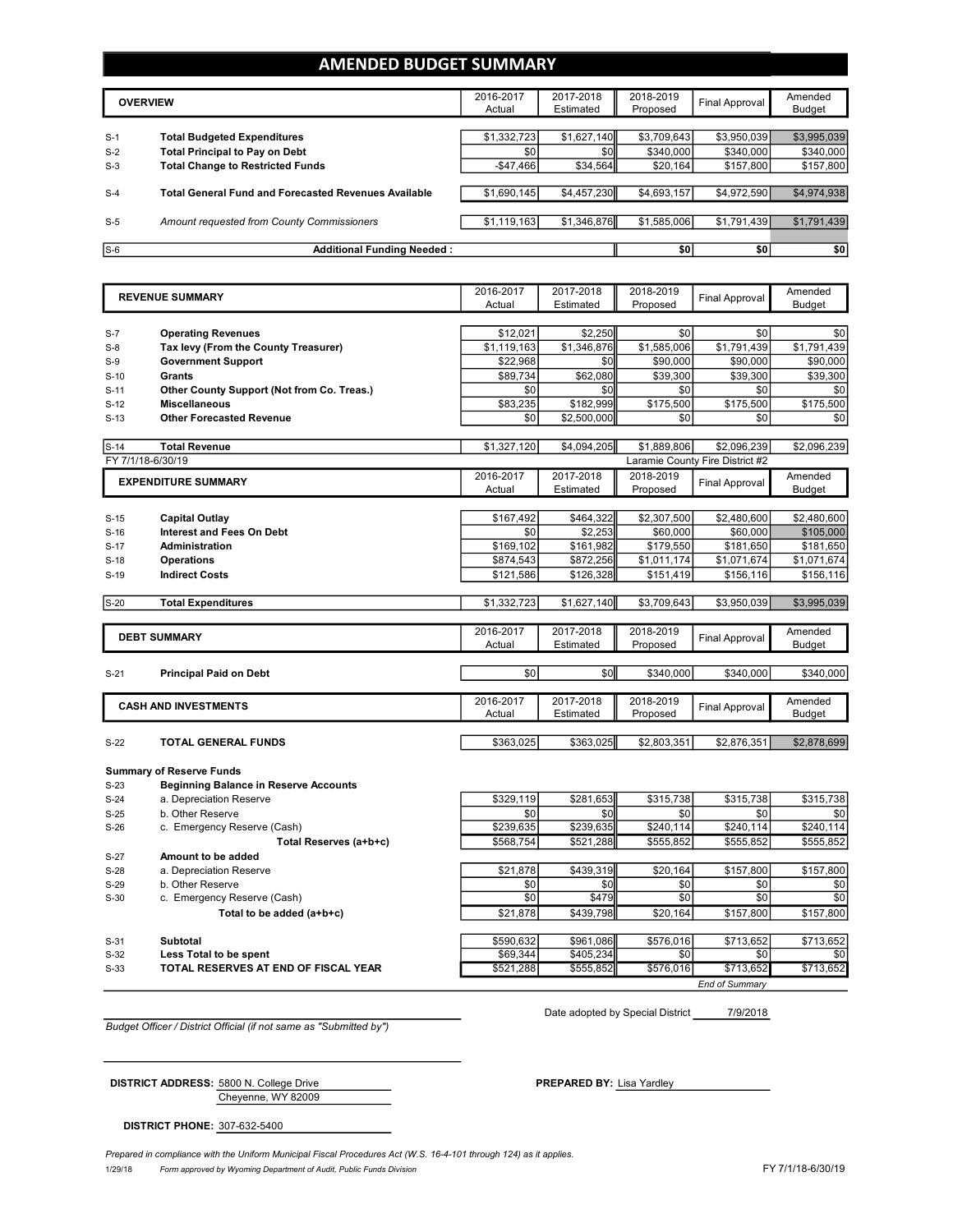### **AMENDED BUDGET SUMMARY**

|       | <b>OVERVIEW</b>                                             | 2016-2017<br>Actual | 2017-2018<br>Estimated | 2018-2019<br>Proposed | Final Approval | Amended<br><b>Budget</b> |
|-------|-------------------------------------------------------------|---------------------|------------------------|-----------------------|----------------|--------------------------|
| $S-1$ | <b>Total Budgeted Expenditures</b>                          | \$1,332,723         | \$1,627,140            | \$3,709,643           | \$3,950,039    | \$3,995,039              |
| $S-2$ | <b>Total Principal to Pay on Debt</b>                       | \$0                 | \$0                    | \$340,000             | \$340,000      | \$340,000                |
| $S-3$ | <b>Total Change to Restricted Funds</b>                     | $-$47.466$          | \$34,564               | \$20,164              | \$157,800      | \$157,800                |
|       |                                                             |                     |                        |                       |                |                          |
| $S-4$ | <b>Total General Fund and Forecasted Revenues Available</b> | \$1,690,145         | \$4,457,230            | \$4,693,157           | \$4,972,590    | \$4,974,938              |
| $S-5$ | Amount requested from County Commissioners                  | \$1,119,163         | \$1,346,876            | \$1,585,006           | \$1,791,439    | \$1,791,439              |
|       |                                                             |                     |                        |                       |                |                          |
| $S-6$ | <b>Additional Funding Needed:</b>                           |                     |                        | \$0                   | \$0            | \$0                      |

|        | <b>REVENUE SUMMARY</b>                       | 2016-2017   | 2017-2018   | 2018-2019   | <b>Final Approval</b>           | Amended       |
|--------|----------------------------------------------|-------------|-------------|-------------|---------------------------------|---------------|
|        |                                              | Actual      | Estimated   | Proposed    |                                 | <b>Budget</b> |
|        |                                              |             |             |             |                                 |               |
| $S-7$  | <b>Operating Revenues</b>                    | \$12,021    | \$2,250     | \$0         | \$0                             | \$0           |
| $S-8$  | Tax levy (From the County Treasurer)         | \$1,119,163 | \$1,346,876 | \$1,585,006 | \$1,791,439                     | \$1,791,439   |
| $S-9$  | <b>Government Support</b>                    | \$22,968    | \$0         | \$90,000    | \$90,000                        | \$90,000      |
| $S-10$ | <b>Grants</b>                                | \$89,734    | \$62,080    | \$39,300    | \$39,300                        | \$39,300      |
| $S-11$ | Other County Support (Not from Co. Treas.)   | \$0         | \$0         | \$0         | \$0                             | \$0           |
| $S-12$ | <b>Miscellaneous</b>                         | \$83,235    | \$182,999   | \$175,500   | \$175,500                       | \$175,500     |
| $S-13$ | <b>Other Forecasted Revenue</b>              | \$0         | \$2,500,000 | \$0         | \$0                             | \$0           |
| $S-14$ | <b>Total Revenue</b>                         | \$1,327,120 | \$4,094,205 | \$1,889,806 | \$2,096,239                     | \$2,096,239   |
|        | FY 7/1/18-6/30/19                            |             |             |             | Laramie County Fire District #2 |               |
|        |                                              | 2016-2017   | 2017-2018   | 2018-2019   |                                 | Amended       |
|        | <b>EXPENDITURE SUMMARY</b>                   | Actual      | Estimated   | Proposed    | <b>Final Approval</b>           | <b>Budget</b> |
|        |                                              |             |             |             |                                 |               |
| $S-15$ | <b>Capital Outlay</b>                        | \$167,492   | \$464,322   | \$2,307,500 | \$2,480,600                     | \$2,480,600   |
| $S-16$ | <b>Interest and Fees On Debt</b>             | \$0         | \$2,253     | \$60,000    | \$60,000                        | \$105,000     |
| $S-17$ | <b>Administration</b>                        | \$169,102   | \$161,982   | \$179,550   | \$181,650                       | \$181,650     |
| $S-18$ | <b>Operations</b>                            | \$874,543   | \$872,256   | \$1,011,174 | \$1,071,674                     | \$1,071,674   |
| $S-19$ | <b>Indirect Costs</b>                        | \$121,586   | \$126,328   | \$151,419   | \$156,116                       | \$156,116     |
|        |                                              |             |             |             |                                 |               |
| $S-20$ | <b>Total Expenditures</b>                    | \$1,332,723 | \$1,627,140 | \$3,709,643 | \$3,950,039                     | \$3,995,039   |
|        |                                              |             |             |             |                                 |               |
|        | <b>DEBT SUMMARY</b>                          | 2016-2017   | 2017-2018   | 2018-2019   | <b>Final Approval</b>           | Amended       |
|        |                                              | Actual      | Estimated   | Proposed    |                                 | <b>Budget</b> |
|        |                                              |             |             |             |                                 |               |
| $S-21$ | <b>Principal Paid on Debt</b>                | \$0         | \$0         | \$340,000   | \$340,000                       | \$340,000     |
|        |                                              | 2016-2017   | 2017-2018   | 2018-2019   |                                 | Amended       |
|        | <b>CASH AND INVESTMENTS</b>                  | Actual      | Estimated   | Proposed    | <b>Final Approval</b>           | <b>Budget</b> |
|        |                                              |             |             |             |                                 |               |
| $S-22$ | TOTAL GENERAL FUNDS                          | \$363,025   | \$363,025   | \$2,803,351 | \$2,876,351                     | \$2,878,699   |
|        |                                              |             |             |             |                                 |               |
|        | <b>Summary of Reserve Funds</b>              |             |             |             |                                 |               |
| $S-23$ | <b>Beginning Balance in Reserve Accounts</b> |             |             |             |                                 |               |
| $S-24$ | a. Depreciation Reserve                      | \$329,119   | \$281.653   | \$315.738   | \$315.738                       | \$315.738     |
| $S-25$ | b. Other Reserve                             | \$0         | \$0         | \$0         | \$0                             | \$0           |
| $S-26$ | c. Emergency Reserve (Cash)                  | \$239,635   | \$239,635   | \$240,114   | \$240,114                       | \$240,114     |
|        | Total Reserves (a+b+c)                       | \$568,754   | \$521,288   | \$555,852   | \$555,852                       | \$555,852     |
| $S-27$ | Amount to be added                           |             |             |             |                                 |               |
| $S-28$ | a. Depreciation Reserve                      | \$21,878    | \$439,319   | \$20.164    | \$157,800                       | \$157,800     |
| $S-29$ | b. Other Reserve                             | \$0         | \$0         | \$0         | \$0                             | \$0           |
| $S-30$ | c. Emergency Reserve (Cash)                  | \$0         | \$479       | \$0         | \$0                             | \$0           |
|        | Total to be added (a+b+c)                    | \$21,878    | \$439,798   | \$20,164    | \$157,800                       | \$157,800     |
|        |                                              |             |             |             |                                 |               |
| $S-31$ | <b>Subtotal</b>                              | \$590.632   | \$961,086   | \$576.016   | \$713,652                       | \$713.652     |
| $S-32$ | Less Total to be spent                       | \$69,344    | \$405,234   | \$0         | \$0                             | \$0           |
| $S-33$ | TOTAL RESERVES AT END OF FISCAL YEAR         | \$521,288   | \$555,852   | \$576,016   | \$713,652                       | \$713,652     |
|        |                                              |             |             |             | <b>End of Summarv</b>           |               |

Date adopted by Special District 7/9/2018

*Budget Officer / District Official (if not same as "Submitted by")*

Cheyenne, WY 82009 **DISTRICT ADDRESS:** 5800 N. College Drive **PREPARED** BY: Lisa Yardley

**DISTRICT PHONE:** 307-632-5400

1/29/18 *Form approved by Wyoming Department of Audit, Public Funds Division* FY 7/1/18-6/30/19 *Prepared in compliance with the Uniform Municipal Fiscal Procedures Act (W.S. 16-4-101 through 124) as it applies.*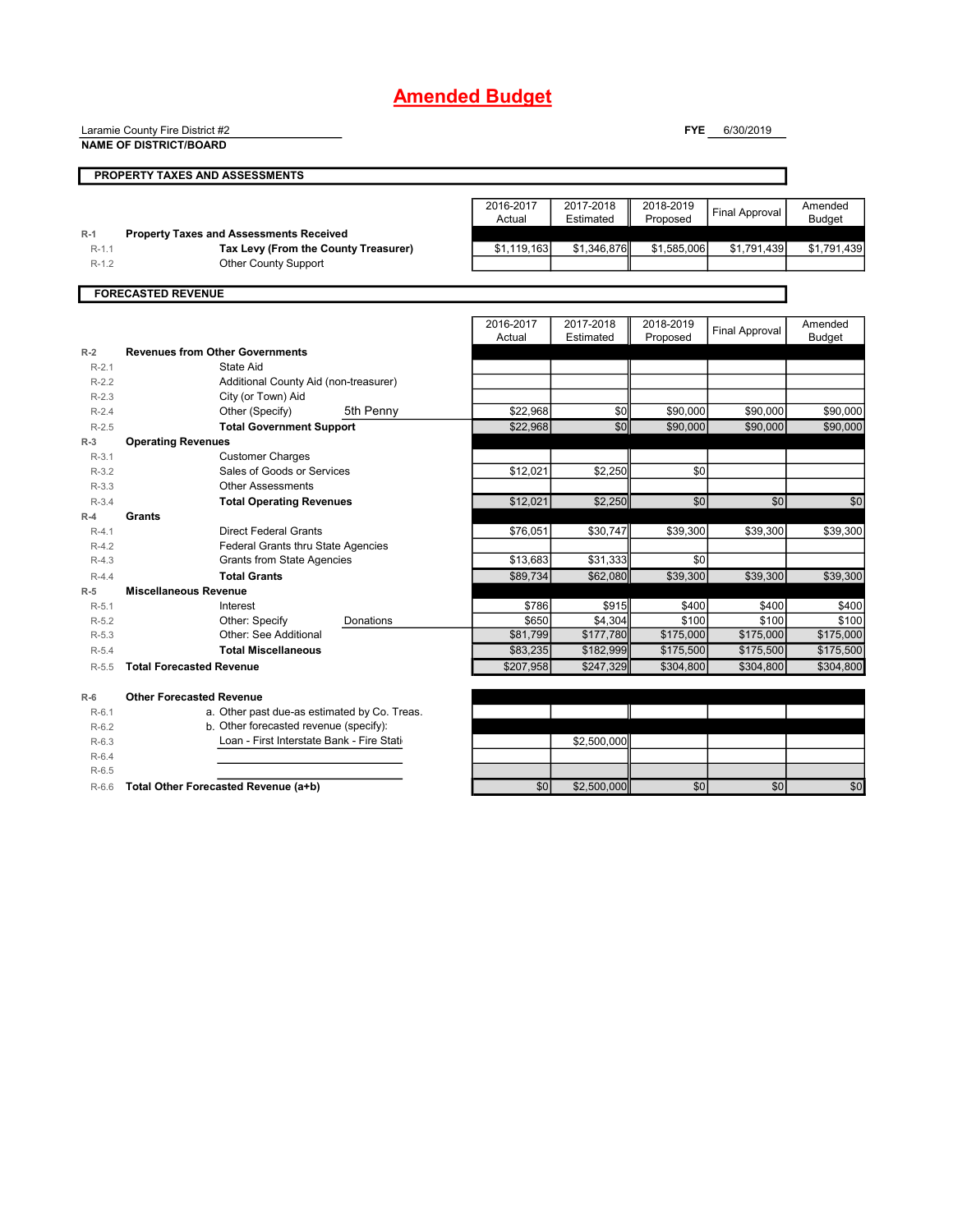## **Amended Budget**

Laramie County Fire District #2

**NAME OF DISTRICT/BOARD**

**FYE** 6/30/2019

|           | NAME OF DISTRICT/BOA                           |                     |                        |                       |                       |                          |
|-----------|------------------------------------------------|---------------------|------------------------|-----------------------|-----------------------|--------------------------|
|           | PROPERTY TAXES AND ASSESSMENTS                 |                     |                        |                       |                       |                          |
|           |                                                |                     |                        |                       |                       |                          |
|           |                                                | 2016-2017<br>Actual | 2017-2018<br>Estimated | 2018-2019<br>Proposed | <b>Final Approval</b> | Amended<br><b>Budget</b> |
| $R-1$     | <b>Property Taxes and Assessments Received</b> |                     |                        |                       |                       |                          |
| $R-1.1$   | Tax Levy (From the County Treasurer)           | \$1,119,163         | \$1,346,876            | \$1,585,006           | \$1,791,439           | \$1,791,439              |
| $R-1.2$   | <b>Other County Support</b>                    |                     |                        |                       |                       |                          |
|           |                                                |                     |                        |                       |                       |                          |
|           | <b>FORECASTED REVENUE</b>                      |                     |                        |                       |                       |                          |
|           |                                                | 2016-2017           | 2017-2018              | 2018-2019             |                       | Amended                  |
|           |                                                | Actual              | Estimated              | Proposed              | <b>Final Approval</b> | <b>Budget</b>            |
| $R-2$     | <b>Revenues from Other Governments</b>         |                     |                        |                       |                       |                          |
| $R-2.1$   | State Aid                                      |                     |                        |                       |                       |                          |
| $R-2.2$   | Additional County Aid (non-treasurer)          |                     |                        |                       |                       |                          |
| $R-2.3$   | City (or Town) Aid                             |                     |                        |                       |                       |                          |
| $R - 2.4$ | 5th Penny<br>Other (Specify)                   | \$22.968            | \$0                    | \$90,000              | \$90,000              | \$90,000                 |
| $R-2.5$   | <b>Total Government Support</b>                | \$22,968            | \$0                    | \$90,000              | \$90,000              | \$90,000                 |
| $R-3$     | <b>Operating Revenues</b>                      |                     |                        |                       |                       |                          |
| $R-3.1$   | <b>Customer Charges</b>                        |                     |                        |                       |                       |                          |
| $R-3.2$   | Sales of Goods or Services                     | \$12,021            | \$2.250                | \$0                   |                       |                          |
| $R-3.3$   | <b>Other Assessments</b>                       |                     |                        |                       |                       |                          |
| $R-3.4$   | <b>Total Operating Revenues</b>                | \$12,021            | \$2,250                | $\overline{50}$       | \$0                   | \$0                      |
| $R-4$     | Grants                                         |                     |                        |                       |                       |                          |
| $R-4.1$   | <b>Direct Federal Grants</b>                   | \$76,051            | \$30,747               | \$39.300              | \$39,300              | \$39,300                 |
| $R-4.2$   | Federal Grants thru State Agencies             |                     |                        |                       |                       |                          |
| $R-4.3$   | <b>Grants from State Agencies</b>              | \$13,683            | \$31,333               | \$0                   |                       |                          |
| $R-4.4$   | <b>Total Grants</b>                            | \$89.734            | \$62,080               | \$39,300              | \$39,300              | \$39,300                 |
| $R-5$     | <b>Miscellaneous Revenue</b>                   |                     |                        |                       |                       |                          |
| $R-5.1$   | Interest                                       | \$786               | \$915                  | \$400                 | \$400                 | \$400                    |
| $R-5.2$   | Other: Specify<br>Donations                    | \$650               | \$4,304                | \$100                 | \$100                 | \$100                    |
| $R-5.3$   | Other: See Additional                          | \$81,799            | \$177,780              | \$175,000             | \$175,000             | \$175,000                |
| $R-5.4$   | <b>Total Miscellaneous</b>                     | \$83,235            | \$182,999              | \$175,500             | \$175,500             | \$175,500                |
| $R-5.5$   | <b>Total Forecasted Revenue</b>                | \$207,958           | \$247,329              | \$304,800             | \$304,800             | \$304,800                |
| $R-6$     | <b>Other Forecasted Revenue</b>                |                     |                        |                       |                       |                          |
| $R-6.1$   | a. Other past due-as estimated by Co. Treas.   |                     |                        |                       |                       |                          |
| $R-6.2$   | b. Other forecasted revenue (specify):         |                     |                        |                       |                       |                          |
| $R-6.3$   | Loan - First Interstate Bank - Fire Stati      |                     | \$2,500.000            |                       |                       |                          |
| $R-6.4$   |                                                |                     |                        |                       |                       |                          |
| $R-6.5$   |                                                |                     |                        |                       |                       |                          |
| $R-6.6$   | Total Other Forecasted Revenue (a+b)           | \$0                 | \$2,500,000            | \$0                   | \$0                   | \$0                      |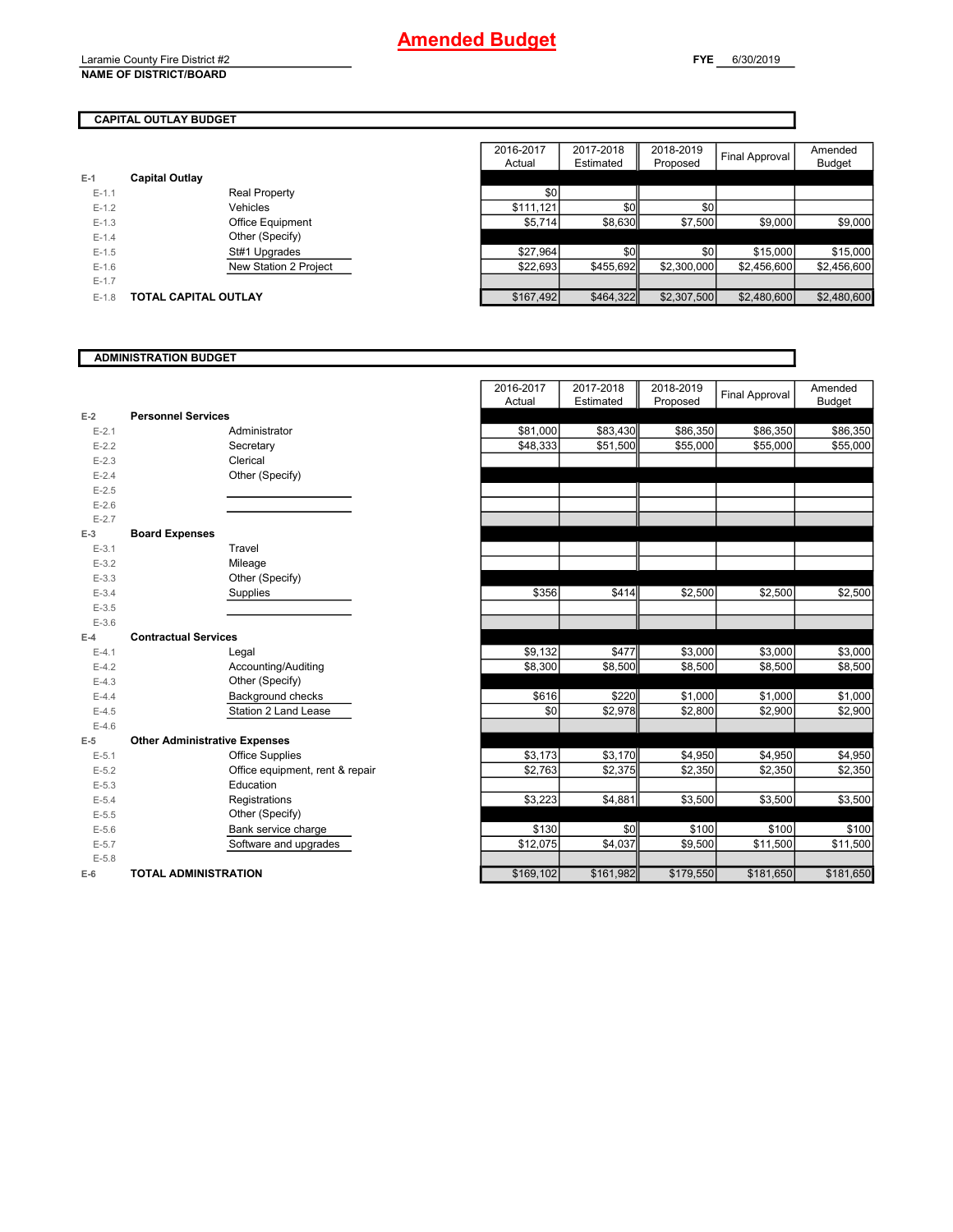Laramie County Fire District #2 **NAME OF DISTRICT/BOARD**

Amended Budget

#### **CAPITAL OUTLAY BUDGET**

|         |                             |                         | 2016-2017<br>Actual | 2017-2018<br>Estimated | 2018-2019<br>Proposed | Final Approval | Amended<br><b>Budget</b> |
|---------|-----------------------------|-------------------------|---------------------|------------------------|-----------------------|----------------|--------------------------|
| $E-1$   | <b>Capital Outlay</b>       |                         |                     |                        |                       |                |                          |
| $E-1.1$ |                             | <b>Real Property</b>    | \$0                 |                        |                       |                |                          |
| $E-1.2$ |                             | Vehicles                | \$111.121           | \$0                    | \$0                   |                |                          |
| $E-1.3$ |                             | <b>Office Equipment</b> | \$5,714             | \$8,630                | \$7,500               | \$9,000        | \$9,000                  |
| $E-1.4$ |                             | Other (Specify)         |                     |                        |                       |                |                          |
| $E-1.5$ |                             | St#1 Upgrades           | \$27,964            | \$0                    | \$0                   | \$15,000       | \$15,000                 |
| $E-1.6$ |                             | New Station 2 Project   | \$22,693            | \$455.692              | \$2,300,000           | \$2,456,600    | \$2,456,600              |
| $E-1.7$ |                             |                         |                     |                        |                       |                |                          |
| $E-1.8$ | <b>TOTAL CAPITAL OUTLAY</b> |                         | \$167,492           | \$464,322              | \$2,307,500           | \$2,480,600    | \$2,480,600              |

#### **ADMINISTRATION BUDGET** 2016-2017 Actual 2017-2018 Estimated 2018-2019 Proposed Final Approval Amended Budget **E-2** E-2.1 Administrator \$81,000 | \$83,430 | \$86,350 | \$86,350 | \$86,350 E-2.2 Secretary | \$48,333| \$51,500| \$55,000| \$55,000| \$55,000 E-2.3 Clerical E-2.4 Other (Specify) E-2.5 E-2.6 E-2.7 **E-3** E-3.1 Travel E-3.2 Mileage E-3.3 Other (Specify) E-3.4 Supplies | \$356| \$414|| \$2,500| \$2,500| \$2,500 E-3.5 E-3.6 **E-4** E-4.1 Legal | \$9,132 | \$477 || \$3,000 | \$3,000 | \$3,000 E-4.2 Accounting/Auditing 38,500 \$8,300 \$8,500 \$8,500 \$8,500 \$8,500 \$8,500 E-4.3 Other (Specify) E-4.4 Background checks \$616| \$220|| \$1,000| \$1,000| \$1,000 E-4.5 \$0 \$2,978 \$2,800 \$2,900 \$2,900 Station 2 Land Lease E-4.6 **E-5 Other Administrative Expenses** E-5.1 Office Supplies \$3,173 | \$3,170 | \$4,950 | \$4,950 | \$4,950 E-5.2 **Office equipment, rent & repair 62,763** \$2,763 \$2,375 \$2,350 \$2,350 \$2,350 \$2,350 E-5.3 Education E-5.4 Registrations \$3,223 | \$4,881|| \$3,500 | \$3,500 | \$3,500 E-5.5 Other (Specify) E-5.6 Bank service charge \$130 \$0|| \$100 \$100 \$100 E-5.7 Software and upgrades \$12,075 | \$4,037|| \$9,500 | \$11,500 | \$11,500 E-5.8 **E-6 TOTAL ADMINISTRATION** \$169,102 \$161,982 \$179,550 \$181,650 \$181,650 **Personnel Services Board Expenses Contractual Services Supplies**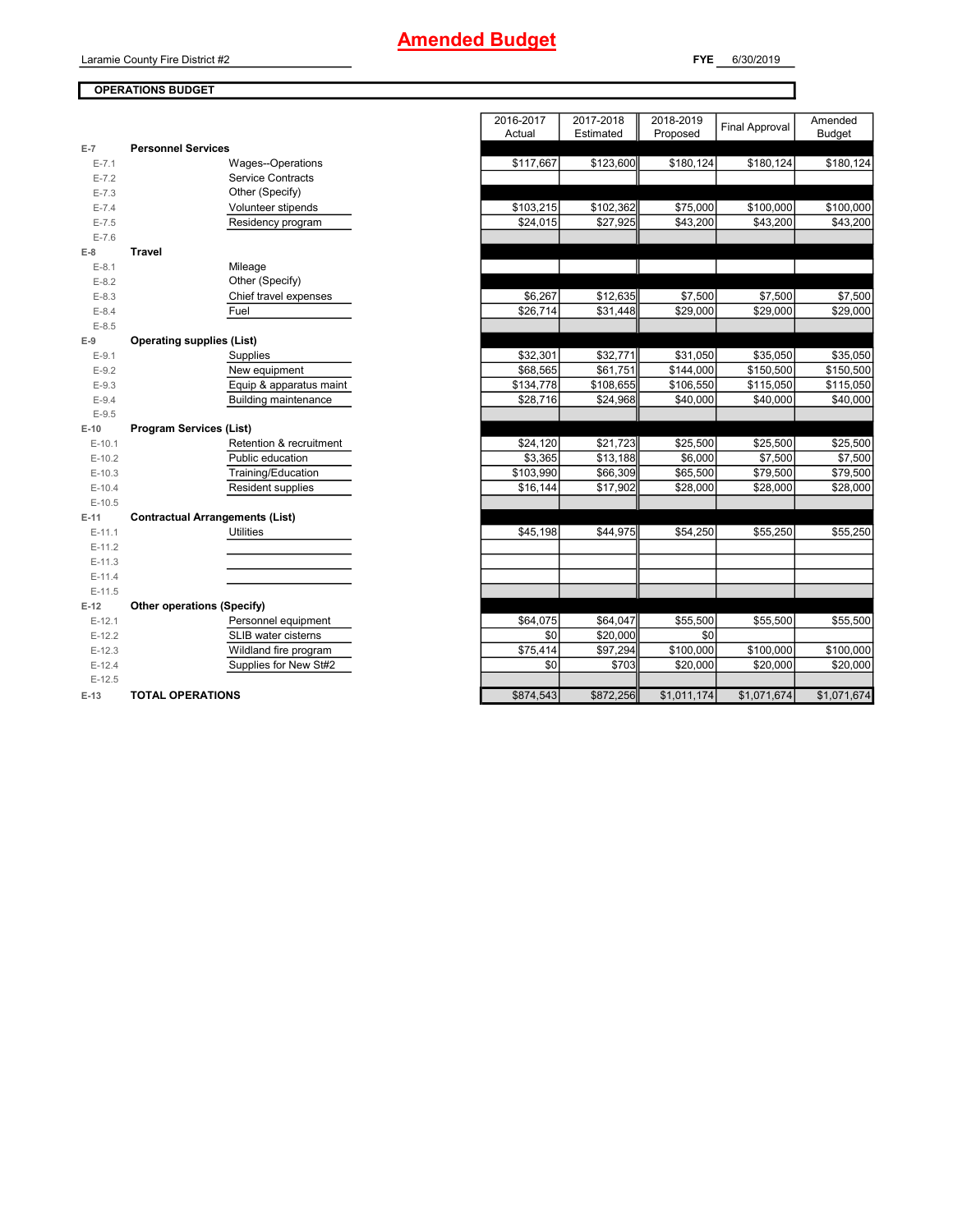Laramie County Fire District #2

#### **OPERATIONS BUDGET**

**FYE** 6/30/2019

|                      |                                            | 2016-2017<br>Actual | 2017-2018<br>Estimated | 2018-2019<br>Proposed | <b>Final Approval</b> | Amended<br><b>Budget</b> |
|----------------------|--------------------------------------------|---------------------|------------------------|-----------------------|-----------------------|--------------------------|
| $E-7$                | <b>Personnel Services</b>                  |                     |                        |                       |                       |                          |
| $E - 7.1$            | Wages--Operations                          | \$117,667           | \$123,600              | \$180,124             | \$180,124             | \$180,124                |
| $E - 7.2$            | Service Contracts                          |                     |                        |                       |                       |                          |
| $E - 7.3$            | Other (Specify)                            |                     |                        |                       |                       |                          |
| $E - 7.4$            | Volunteer stipends                         | \$103,215           | \$102,362              | \$75,000              | \$100,000             | \$100,000                |
| $E - 7.5$            | Residency program                          | \$24,015            | \$27,925               | \$43,200              | \$43,200              | \$43,200                 |
| $E - 7.6$            |                                            |                     |                        |                       |                       |                          |
| $E-8$                | <b>Travel</b>                              |                     |                        |                       |                       |                          |
| $E-8.1$              | Mileage                                    |                     |                        |                       |                       |                          |
| $E-8.2$              | Other (Specify)                            |                     |                        |                       |                       |                          |
| $E-8.3$              | Chief travel expenses                      | \$6,267             | \$12,635               | \$7,500               | \$7,500               | \$7,500                  |
| $E-8.4$              | Fuel                                       | \$26,714            | \$31,448               | \$29,000              | \$29,000              | \$29,000                 |
| $E-8.5$              |                                            |                     |                        |                       |                       |                          |
| $E-9$                | <b>Operating supplies (List)</b>           |                     |                        |                       |                       |                          |
| $E-9.1$              | Supplies                                   | \$32,301            | \$32,771               | \$31,050              | \$35,050              | \$35,050                 |
| $E-9.2$              | New equipment                              | \$68,565            | \$61,751               | \$144,000             | \$150,500             | \$150,500                |
| $E-9.3$              | Equip & apparatus maint                    | \$134,778           | \$108,655              | \$106,550             | \$115,050             | \$115,050                |
| $E-9.4$              | <b>Building maintenance</b>                | \$28,716            | \$24,968               | \$40,000              | \$40,000              | \$40,000                 |
| $E-9.5$              |                                            |                     |                        |                       |                       |                          |
| $E-10$               | <b>Program Services (List)</b>             |                     |                        |                       |                       |                          |
| $E-10.1$             | Retention & recruitment                    | \$24,120            | \$21,723               | \$25,500              | \$25,500              | \$25,500                 |
| $E-10.2$             | Public education                           | \$3,365             | \$13,188               | \$6,000               | \$7,500               | \$7,500                  |
| $E-10.3$             | Training/Education                         | \$103,990           | \$66,309               | \$65,500              | \$79,500              | \$79,500                 |
| $E-10.4$             | Resident supplies                          | \$16,144            | \$17,902               | \$28,000              | \$28,000              | \$28,000                 |
| $E-10.5$             |                                            |                     |                        |                       |                       |                          |
| $E-11$               | <b>Contractual Arrangements (List)</b>     |                     |                        |                       |                       |                          |
| $E-11.1$             | <b>Utilities</b>                           | \$45,198            | \$44,975               | \$54,250              | \$55,250              | \$55,250                 |
| $E-11.2$             |                                            |                     |                        |                       |                       |                          |
| $E-11.3$             |                                            |                     |                        |                       |                       |                          |
| $E-11.4$             |                                            |                     |                        |                       |                       |                          |
| $E-11.5$             |                                            |                     |                        |                       |                       |                          |
| $E-12$               | Other operations (Specify)                 |                     |                        |                       |                       |                          |
| $E-12.1$             | Personnel equipment<br>SLIB water cisterns | \$64,075<br>\$0     | \$64,047<br>\$20,000   | \$55,500<br>\$0       | \$55,500              | \$55,500                 |
| $E-12.2$<br>$E-12.3$ | Wildland fire program                      | \$75,414            | \$97,294               | \$100,000             | \$100,000             | \$100,000                |
| $E-12.4$             | Supplies for New St#2                      | \$0                 | \$703                  | \$20,000              | \$20,000              | \$20,000                 |
| $E-12.5$             |                                            |                     |                        |                       |                       |                          |
| $E-13$               | <b>TOTAL OPERATIONS</b>                    | \$874,543           | \$872,256              | \$1,011,174           | \$1,071,674           | \$1,071,674              |
|                      |                                            |                     |                        |                       |                       |                          |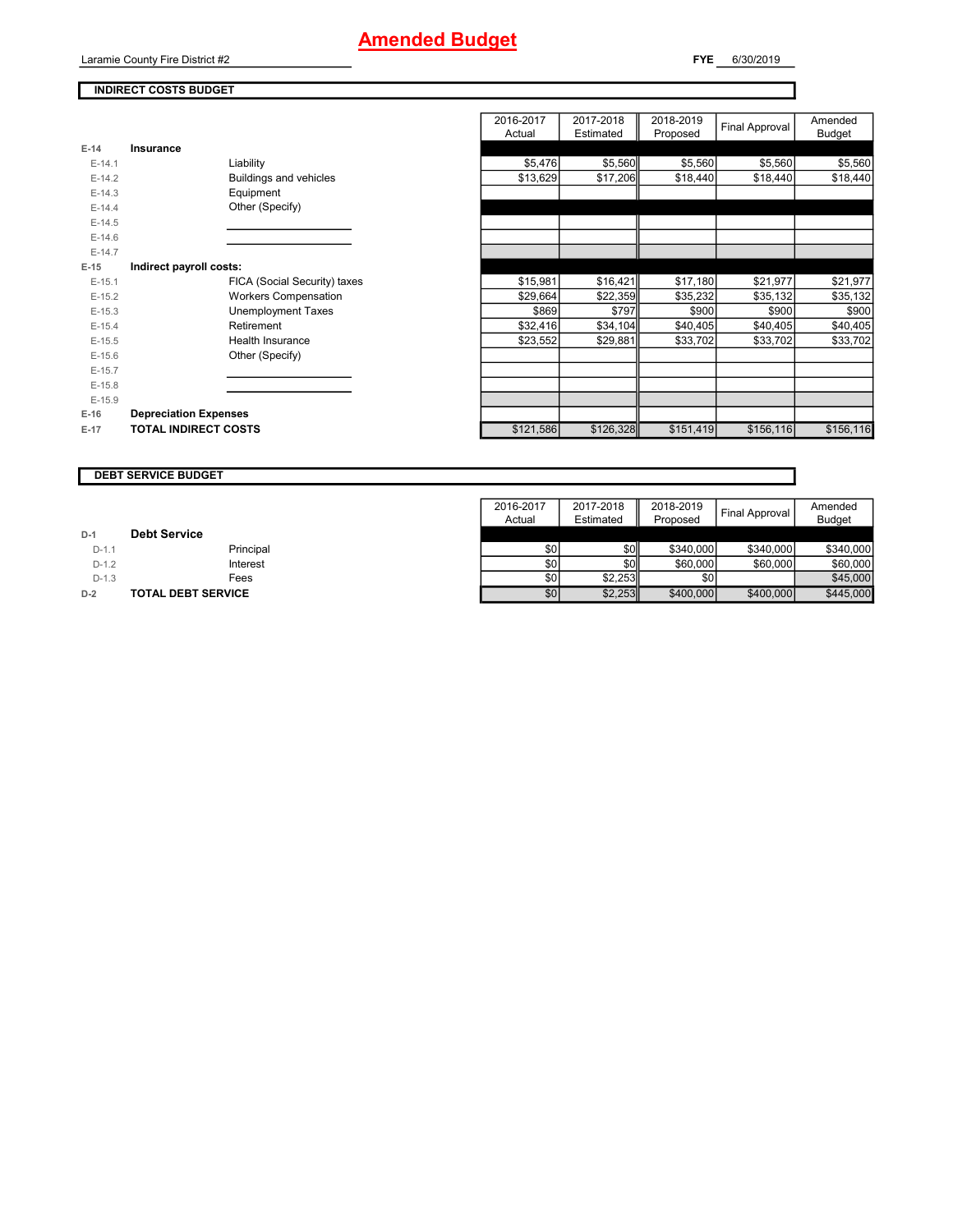## **Amended Budget**

Laramie County Fire District #2

**FYE** 6/30/2019

#### **INDIRECT COSTS BUDGET**

|          |                              | 2016-2017<br>Actual | 2017-2018<br>Estimated | 2018-2019<br>Proposed | Final Approval | Amended<br><b>Budget</b> |
|----------|------------------------------|---------------------|------------------------|-----------------------|----------------|--------------------------|
| $E-14$   | Insurance                    |                     |                        |                       |                |                          |
| $E-14.1$ | Liability                    | \$5,476             | \$5,560                | \$5,560               | \$5,560        | \$5,560                  |
| $E-14.2$ | Buildings and vehicles       | \$13,629            | \$17,206               | \$18,440              | \$18,440       | \$18,440                 |
| $E-14.3$ | Equipment                    |                     |                        |                       |                |                          |
| $E-14.4$ | Other (Specify)              |                     |                        |                       |                |                          |
| $E-14.5$ |                              |                     |                        |                       |                |                          |
| $E-14.6$ |                              |                     |                        |                       |                |                          |
| $E-14.7$ |                              |                     |                        |                       |                |                          |
| $E-15$   | Indirect payroll costs:      |                     |                        |                       |                |                          |
| $E-15.1$ | FICA (Social Security) taxes | \$15,981            | \$16,421               | \$17,180              | \$21,977       | \$21,977                 |
| $E-15.2$ | <b>Workers Compensation</b>  | \$29,664            | \$22,359               | \$35,232              | \$35,132       | \$35,132                 |
| $E-15.3$ | <b>Unemployment Taxes</b>    | \$869               | \$797                  | \$900                 | \$900          | \$900                    |
| $E-15.4$ | Retirement                   | \$32,416            | \$34,104               | \$40,405              | \$40,405       | \$40,405                 |
| $E-15.5$ | Health Insurance             | \$23,552            | \$29,881               | \$33,702              | \$33,702       | \$33,702                 |
| $E-15.6$ | Other (Specify)              |                     |                        |                       |                |                          |
| $E-15.7$ |                              |                     |                        |                       |                |                          |
| $E-15.8$ |                              |                     |                        |                       |                |                          |
| $E-15.9$ |                              |                     |                        |                       |                |                          |
| $E-16$   | <b>Depreciation Expenses</b> |                     |                        |                       |                |                          |
| $E-17$   | <b>TOTAL INDIRECT COSTS</b>  | \$121,586           | \$126,328              | \$151,419             | \$156,116      | \$156,116                |

#### **DEBT SERVICE BUDGET**

|         |                           | 2016-2017 | 2017-2018 | 2018-2019 | <b>Final Approval</b> | Amended       |
|---------|---------------------------|-----------|-----------|-----------|-----------------------|---------------|
|         |                           | Actual    | Estimated | Proposed  |                       | <b>Budget</b> |
| $D-1$   | <b>Debt Service</b>       |           |           |           |                       |               |
| $D-1.1$ | Principal                 | \$0       | \$0       | \$340,000 | \$340,000             | \$340,000     |
| $D-1.2$ | Interest                  | \$0       | \$0       | \$60,000  | \$60,000              | \$60,000      |
| $D-1.3$ | Fees                      | \$0       | \$2.253   | \$0       |                       | \$45,000      |
| $D-2$   | <b>TOTAL DEBT SERVICE</b> | \$0       | \$2,253   | \$400,000 | \$400,000             | \$445,000     |